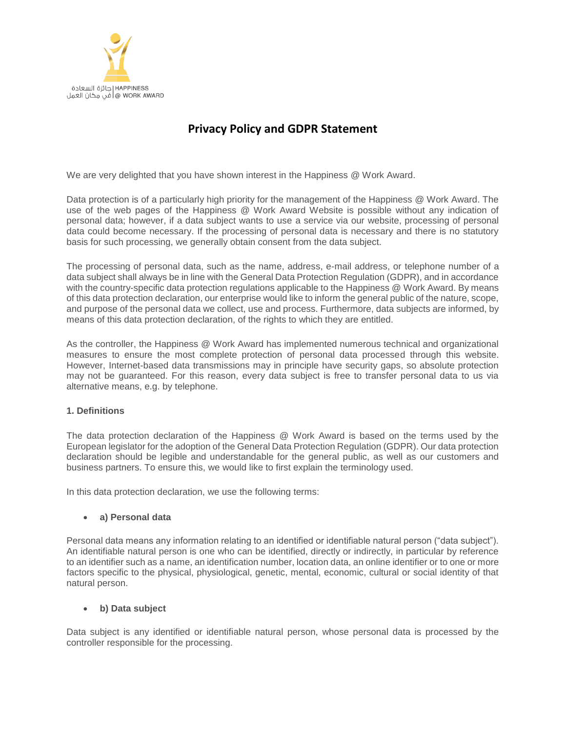

# **Privacy Policy and GDPR Statement**

We are very delighted that you have shown interest in the Happiness @ Work Award.

Data protection is of a particularly high priority for the management of the Happiness @ Work Award. The use of the web pages of the Happiness @ Work Award Website is possible without any indication of personal data; however, if a data subject wants to use a service via our website, processing of personal data could become necessary. If the processing of personal data is necessary and there is no statutory basis for such processing, we generally obtain consent from the data subject.

The processing of personal data, such as the name, address, e-mail address, or telephone number of a data subject shall always be in line with the General Data Protection Regulation (GDPR), and in accordance with the country-specific data protection regulations applicable to the Happiness @ Work Award. By means of this data protection declaration, our enterprise would like to inform the general public of the nature, scope, and purpose of the personal data we collect, use and process. Furthermore, data subjects are informed, by means of this data protection declaration, of the rights to which they are entitled.

As the controller, the Happiness @ Work Award has implemented numerous technical and organizational measures to ensure the most complete protection of personal data processed through this website. However, Internet-based data transmissions may in principle have security gaps, so absolute protection may not be guaranteed. For this reason, every data subject is free to transfer personal data to us via alternative means, e.g. by telephone.

## **1. Definitions**

The data protection declaration of the Happiness @ Work Award is based on the terms used by the European legislator for the adoption of the General Data Protection Regulation (GDPR). Our data protection declaration should be legible and understandable for the general public, as well as our customers and business partners. To ensure this, we would like to first explain the terminology used.

In this data protection declaration, we use the following terms:

### • **a) Personal data**

Personal data means any information relating to an identified or identifiable natural person ("data subject"). An identifiable natural person is one who can be identified, directly or indirectly, in particular by reference to an identifier such as a name, an identification number, location data, an online identifier or to one or more factors specific to the physical, physiological, genetic, mental, economic, cultural or social identity of that natural person.

### • **b) Data subject**

Data subject is any identified or identifiable natural person, whose personal data is processed by the controller responsible for the processing.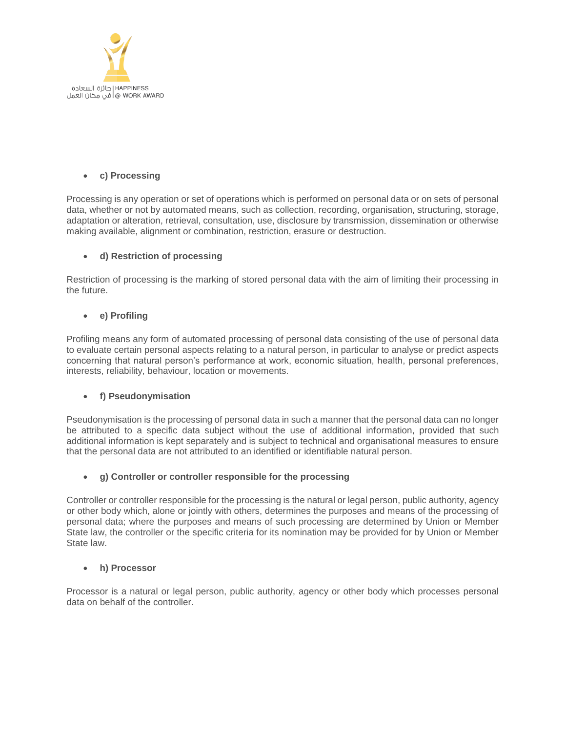

## • **c) Processing**

Processing is any operation or set of operations which is performed on personal data or on sets of personal data, whether or not by automated means, such as collection, recording, organisation, structuring, storage, adaptation or alteration, retrieval, consultation, use, disclosure by transmission, dissemination or otherwise making available, alignment or combination, restriction, erasure or destruction.

## • **d) Restriction of processing**

Restriction of processing is the marking of stored personal data with the aim of limiting their processing in the future.

## • **e) Profiling**

Profiling means any form of automated processing of personal data consisting of the use of personal data to evaluate certain personal aspects relating to a natural person, in particular to analyse or predict aspects concerning that natural person's performance at work, economic situation, health, personal preferences, interests, reliability, behaviour, location or movements.

## • **f) Pseudonymisation**

Pseudonymisation is the processing of personal data in such a manner that the personal data can no longer be attributed to a specific data subject without the use of additional information, provided that such additional information is kept separately and is subject to technical and organisational measures to ensure that the personal data are not attributed to an identified or identifiable natural person.

## • **g) Controller or controller responsible for the processing**

Controller or controller responsible for the processing is the natural or legal person, public authority, agency or other body which, alone or jointly with others, determines the purposes and means of the processing of personal data; where the purposes and means of such processing are determined by Union or Member State law, the controller or the specific criteria for its nomination may be provided for by Union or Member State law.

### • **h) Processor**

Processor is a natural or legal person, public authority, agency or other body which processes personal data on behalf of the controller.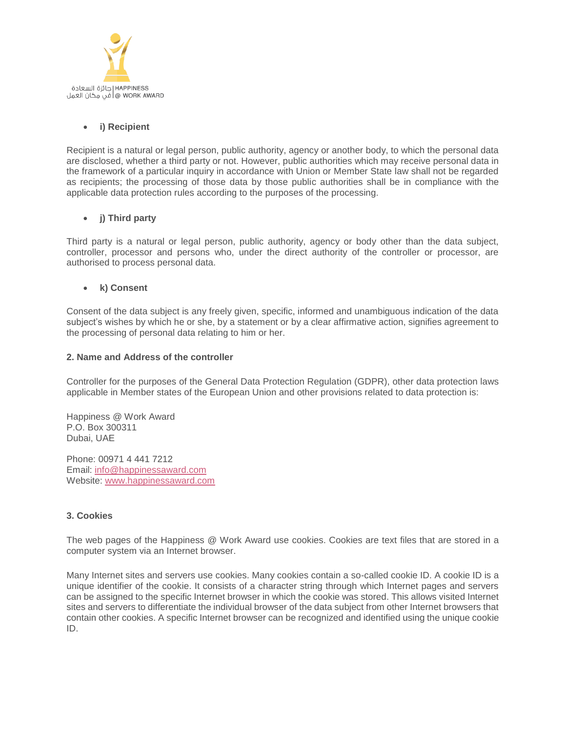

## • **i) Recipient**

Recipient is a natural or legal person, public authority, agency or another body, to which the personal data are disclosed, whether a third party or not. However, public authorities which may receive personal data in the framework of a particular inquiry in accordance with Union or Member State law shall not be regarded as recipients; the processing of those data by those public authorities shall be in compliance with the applicable data protection rules according to the purposes of the processing.

## • **j) Third party**

Third party is a natural or legal person, public authority, agency or body other than the data subject, controller, processor and persons who, under the direct authority of the controller or processor, are authorised to process personal data.

## • **k) Consent**

Consent of the data subject is any freely given, specific, informed and unambiguous indication of the data subject's wishes by which he or she, by a statement or by a clear affirmative action, signifies agreement to the processing of personal data relating to him or her.

### **2. Name and Address of the controller**

Controller for the purposes of the General Data Protection Regulation (GDPR), other data protection laws applicable in Member states of the European Union and other provisions related to data protection is:

Happiness @ Work Award P.O. Box 300311 Dubai, UAE

Phone: 00971 4 441 7212 Email: [info@happinessaward.com](mailto:info@happinessaward.com) Website: [www.happinessaward.com](http://www.happinessaward.com/)

### **3. Cookies**

The web pages of the Happiness @ Work Award use cookies. Cookies are text files that are stored in a computer system via an Internet browser.

Many Internet sites and servers use cookies. Many cookies contain a so-called cookie ID. A cookie ID is a unique identifier of the cookie. It consists of a character string through which Internet pages and servers can be assigned to the specific Internet browser in which the cookie was stored. This allows visited Internet sites and servers to differentiate the individual browser of the data subject from other Internet browsers that contain other cookies. A specific Internet browser can be recognized and identified using the unique cookie ID.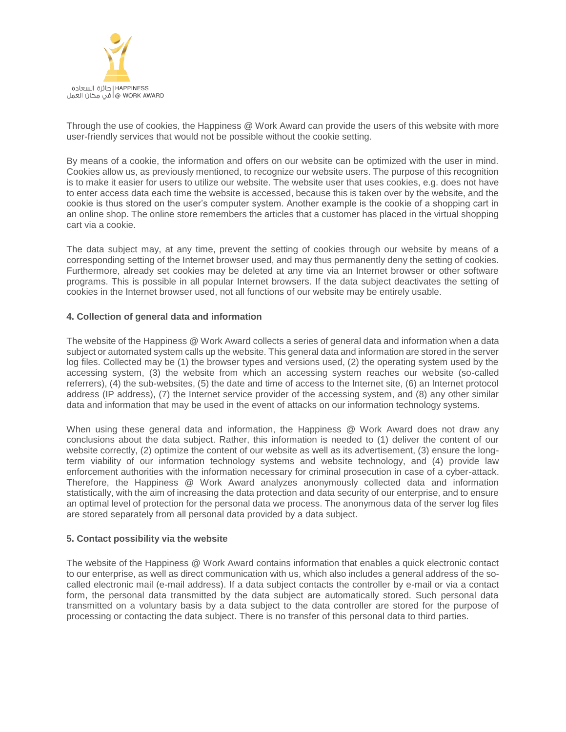

Through the use of cookies, the Happiness @ Work Award can provide the users of this website with more user-friendly services that would not be possible without the cookie setting.

By means of a cookie, the information and offers on our website can be optimized with the user in mind. Cookies allow us, as previously mentioned, to recognize our website users. The purpose of this recognition is to make it easier for users to utilize our website. The website user that uses cookies, e.g. does not have to enter access data each time the website is accessed, because this is taken over by the website, and the cookie is thus stored on the user's computer system. Another example is the cookie of a shopping cart in an online shop. The online store remembers the articles that a customer has placed in the virtual shopping cart via a cookie.

The data subject may, at any time, prevent the setting of cookies through our website by means of a corresponding setting of the Internet browser used, and may thus permanently deny the setting of cookies. Furthermore, already set cookies may be deleted at any time via an Internet browser or other software programs. This is possible in all popular Internet browsers. If the data subject deactivates the setting of cookies in the Internet browser used, not all functions of our website may be entirely usable.

### **4. Collection of general data and information**

The website of the Happiness @ Work Award collects a series of general data and information when a data subject or automated system calls up the website. This general data and information are stored in the server log files. Collected may be (1) the browser types and versions used, (2) the operating system used by the accessing system, (3) the website from which an accessing system reaches our website (so-called referrers), (4) the sub-websites, (5) the date and time of access to the Internet site, (6) an Internet protocol address (IP address), (7) the Internet service provider of the accessing system, and (8) any other similar data and information that may be used in the event of attacks on our information technology systems.

When using these general data and information, the Happiness @ Work Award does not draw any conclusions about the data subject. Rather, this information is needed to (1) deliver the content of our website correctly, (2) optimize the content of our website as well as its advertisement, (3) ensure the longterm viability of our information technology systems and website technology, and (4) provide law enforcement authorities with the information necessary for criminal prosecution in case of a cyber-attack. Therefore, the Happiness @ Work Award analyzes anonymously collected data and information statistically, with the aim of increasing the data protection and data security of our enterprise, and to ensure an optimal level of protection for the personal data we process. The anonymous data of the server log files are stored separately from all personal data provided by a data subject.

### **5. Contact possibility via the website**

The website of the Happiness @ Work Award contains information that enables a quick electronic contact to our enterprise, as well as direct communication with us, which also includes a general address of the socalled electronic mail (e-mail address). If a data subject contacts the controller by e-mail or via a contact form, the personal data transmitted by the data subject are automatically stored. Such personal data transmitted on a voluntary basis by a data subject to the data controller are stored for the purpose of processing or contacting the data subject. There is no transfer of this personal data to third parties.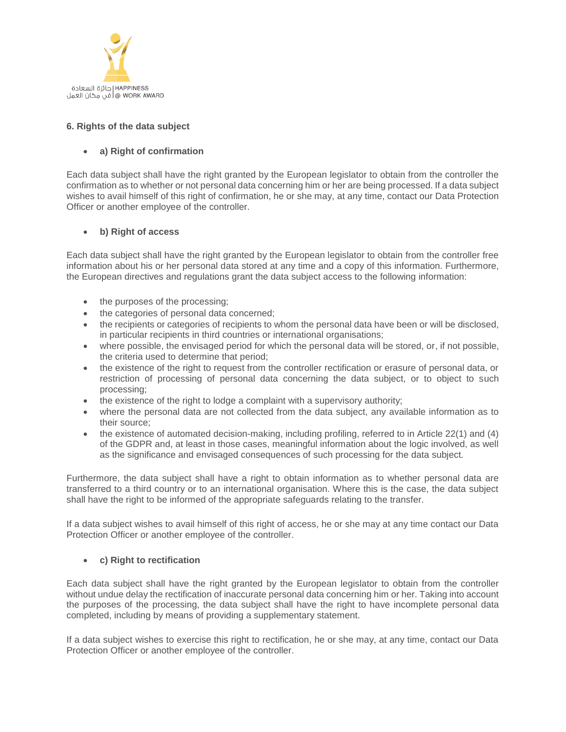

## **6. Rights of the data subject**

## • **a) Right of confirmation**

Each data subject shall have the right granted by the European legislator to obtain from the controller the confirmation as to whether or not personal data concerning him or her are being processed. If a data subject wishes to avail himself of this right of confirmation, he or she may, at any time, contact our Data Protection Officer or another employee of the controller.

## • **b) Right of access**

Each data subject shall have the right granted by the European legislator to obtain from the controller free information about his or her personal data stored at any time and a copy of this information. Furthermore, the European directives and regulations grant the data subject access to the following information:

- the purposes of the processing;
- the categories of personal data concerned;
- the recipients or categories of recipients to whom the personal data have been or will be disclosed, in particular recipients in third countries or international organisations;
- where possible, the envisaged period for which the personal data will be stored, or, if not possible, the criteria used to determine that period;
- the existence of the right to request from the controller rectification or erasure of personal data, or restriction of processing of personal data concerning the data subject, or to object to such processing;
- the existence of the right to lodge a complaint with a supervisory authority;
- where the personal data are not collected from the data subject, any available information as to their source;
- the existence of automated decision-making, including profiling, referred to in Article 22(1) and (4) of the GDPR and, at least in those cases, meaningful information about the logic involved, as well as the significance and envisaged consequences of such processing for the data subject.

Furthermore, the data subject shall have a right to obtain information as to whether personal data are transferred to a third country or to an international organisation. Where this is the case, the data subject shall have the right to be informed of the appropriate safeguards relating to the transfer.

If a data subject wishes to avail himself of this right of access, he or she may at any time contact our Data Protection Officer or another employee of the controller.

## • **c) Right to rectification**

Each data subject shall have the right granted by the European legislator to obtain from the controller without undue delay the rectification of inaccurate personal data concerning him or her. Taking into account the purposes of the processing, the data subject shall have the right to have incomplete personal data completed, including by means of providing a supplementary statement.

If a data subject wishes to exercise this right to rectification, he or she may, at any time, contact our Data Protection Officer or another employee of the controller.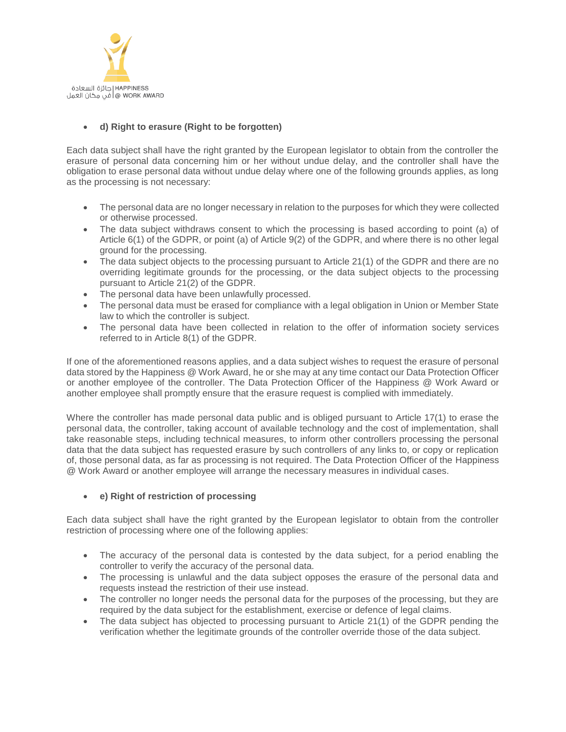

## • **d) Right to erasure (Right to be forgotten)**

Each data subject shall have the right granted by the European legislator to obtain from the controller the erasure of personal data concerning him or her without undue delay, and the controller shall have the obligation to erase personal data without undue delay where one of the following grounds applies, as long as the processing is not necessary:

- The personal data are no longer necessary in relation to the purposes for which they were collected or otherwise processed.
- The data subject withdraws consent to which the processing is based according to point (a) of Article 6(1) of the GDPR, or point (a) of Article 9(2) of the GDPR, and where there is no other legal ground for the processing.
- The data subject objects to the processing pursuant to Article 21(1) of the GDPR and there are no overriding legitimate grounds for the processing, or the data subject objects to the processing pursuant to Article 21(2) of the GDPR.
- The personal data have been unlawfully processed.
- The personal data must be erased for compliance with a legal obligation in Union or Member State law to which the controller is subject.
- The personal data have been collected in relation to the offer of information society services referred to in Article 8(1) of the GDPR.

If one of the aforementioned reasons applies, and a data subject wishes to request the erasure of personal data stored by the Happiness @ Work Award, he or she may at any time contact our Data Protection Officer or another employee of the controller. The Data Protection Officer of the Happiness @ Work Award or another employee shall promptly ensure that the erasure request is complied with immediately.

Where the controller has made personal data public and is obliged pursuant to Article 17(1) to erase the personal data, the controller, taking account of available technology and the cost of implementation, shall take reasonable steps, including technical measures, to inform other controllers processing the personal data that the data subject has requested erasure by such controllers of any links to, or copy or replication of, those personal data, as far as processing is not required. The Data Protection Officer of the Happiness @ Work Award or another employee will arrange the necessary measures in individual cases.

## • **e) Right of restriction of processing**

Each data subject shall have the right granted by the European legislator to obtain from the controller restriction of processing where one of the following applies:

- The accuracy of the personal data is contested by the data subject, for a period enabling the controller to verify the accuracy of the personal data.
- The processing is unlawful and the data subject opposes the erasure of the personal data and requests instead the restriction of their use instead.
- The controller no longer needs the personal data for the purposes of the processing, but they are required by the data subject for the establishment, exercise or defence of legal claims.
- The data subject has objected to processing pursuant to Article 21(1) of the GDPR pending the verification whether the legitimate grounds of the controller override those of the data subject.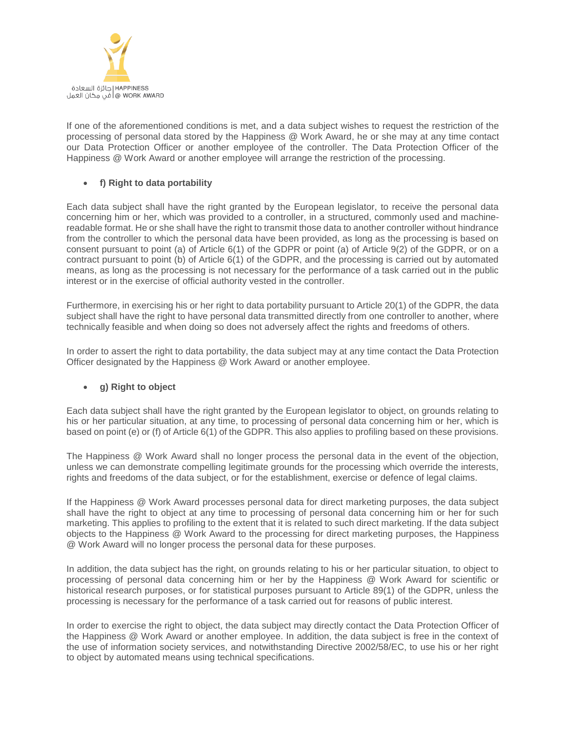

If one of the aforementioned conditions is met, and a data subject wishes to request the restriction of the processing of personal data stored by the Happiness @ Work Award, he or she may at any time contact our Data Protection Officer or another employee of the controller. The Data Protection Officer of the Happiness @ Work Award or another employee will arrange the restriction of the processing.

## • **f) Right to data portability**

Each data subject shall have the right granted by the European legislator, to receive the personal data concerning him or her, which was provided to a controller, in a structured, commonly used and machinereadable format. He or she shall have the right to transmit those data to another controller without hindrance from the controller to which the personal data have been provided, as long as the processing is based on consent pursuant to point (a) of Article 6(1) of the GDPR or point (a) of Article 9(2) of the GDPR, or on a contract pursuant to point (b) of Article 6(1) of the GDPR, and the processing is carried out by automated means, as long as the processing is not necessary for the performance of a task carried out in the public interest or in the exercise of official authority vested in the controller.

Furthermore, in exercising his or her right to data portability pursuant to Article 20(1) of the GDPR, the data subject shall have the right to have personal data transmitted directly from one controller to another, where technically feasible and when doing so does not adversely affect the rights and freedoms of others.

In order to assert the right to data portability, the data subject may at any time contact the Data Protection Officer designated by the Happiness @ Work Award or another employee.

## • **g) Right to object**

Each data subject shall have the right granted by the European legislator to object, on grounds relating to his or her particular situation, at any time, to processing of personal data concerning him or her, which is based on point (e) or (f) of Article 6(1) of the GDPR. This also applies to profiling based on these provisions.

The Happiness @ Work Award shall no longer process the personal data in the event of the objection, unless we can demonstrate compelling legitimate grounds for the processing which override the interests, rights and freedoms of the data subject, or for the establishment, exercise or defence of legal claims.

If the Happiness @ Work Award processes personal data for direct marketing purposes, the data subject shall have the right to object at any time to processing of personal data concerning him or her for such marketing. This applies to profiling to the extent that it is related to such direct marketing. If the data subject objects to the Happiness @ Work Award to the processing for direct marketing purposes, the Happiness @ Work Award will no longer process the personal data for these purposes.

In addition, the data subject has the right, on grounds relating to his or her particular situation, to object to processing of personal data concerning him or her by the Happiness @ Work Award for scientific or historical research purposes, or for statistical purposes pursuant to Article 89(1) of the GDPR, unless the processing is necessary for the performance of a task carried out for reasons of public interest.

In order to exercise the right to object, the data subject may directly contact the Data Protection Officer of the Happiness @ Work Award or another employee. In addition, the data subject is free in the context of the use of information society services, and notwithstanding Directive 2002/58/EC, to use his or her right to object by automated means using technical specifications.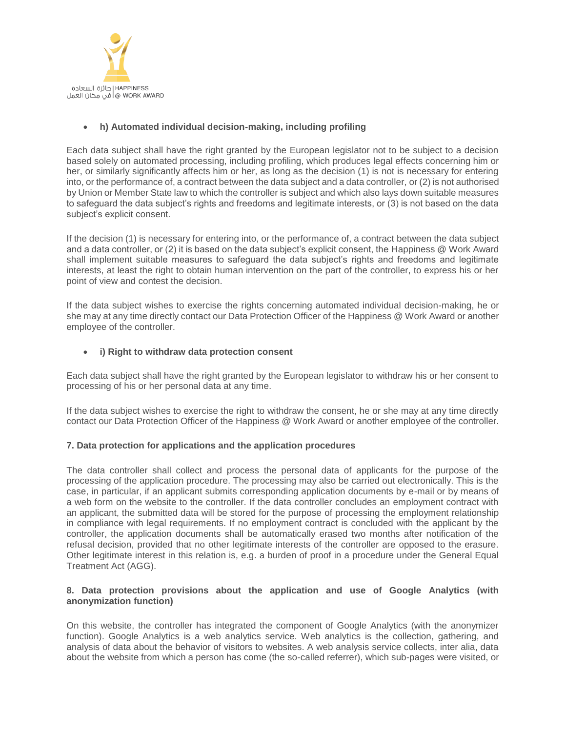

## • **h) Automated individual decision-making, including profiling**

Each data subject shall have the right granted by the European legislator not to be subject to a decision based solely on automated processing, including profiling, which produces legal effects concerning him or her, or similarly significantly affects him or her, as long as the decision (1) is not is necessary for entering into, or the performance of, a contract between the data subject and a data controller, or (2) is not authorised by Union or Member State law to which the controller is subject and which also lays down suitable measures to safeguard the data subject's rights and freedoms and legitimate interests, or (3) is not based on the data subject's explicit consent.

If the decision (1) is necessary for entering into, or the performance of, a contract between the data subject and a data controller, or (2) it is based on the data subject's explicit consent, the Happiness @ Work Award shall implement suitable measures to safeguard the data subject's rights and freedoms and legitimate interests, at least the right to obtain human intervention on the part of the controller, to express his or her point of view and contest the decision.

If the data subject wishes to exercise the rights concerning automated individual decision-making, he or she may at any time directly contact our Data Protection Officer of the Happiness @ Work Award or another employee of the controller.

## • **i) Right to withdraw data protection consent**

Each data subject shall have the right granted by the European legislator to withdraw his or her consent to processing of his or her personal data at any time.

If the data subject wishes to exercise the right to withdraw the consent, he or she may at any time directly contact our Data Protection Officer of the Happiness @ Work Award or another employee of the controller.

### **7. Data protection for applications and the application procedures**

The data controller shall collect and process the personal data of applicants for the purpose of the processing of the application procedure. The processing may also be carried out electronically. This is the case, in particular, if an applicant submits corresponding application documents by e-mail or by means of a web form on the website to the controller. If the data controller concludes an employment contract with an applicant, the submitted data will be stored for the purpose of processing the employment relationship in compliance with legal requirements. If no employment contract is concluded with the applicant by the controller, the application documents shall be automatically erased two months after notification of the refusal decision, provided that no other legitimate interests of the controller are opposed to the erasure. Other legitimate interest in this relation is, e.g. a burden of proof in a procedure under the General Equal Treatment Act (AGG).

## **8. Data protection provisions about the application and use of Google Analytics (with anonymization function)**

On this website, the controller has integrated the component of Google Analytics (with the anonymizer function). Google Analytics is a web analytics service. Web analytics is the collection, gathering, and analysis of data about the behavior of visitors to websites. A web analysis service collects, inter alia, data about the website from which a person has come (the so-called referrer), which sub-pages were visited, or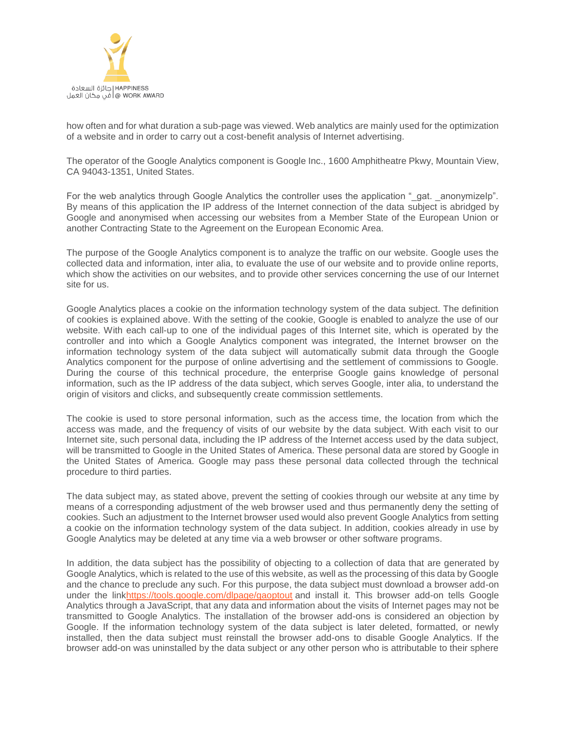

how often and for what duration a sub-page was viewed. Web analytics are mainly used for the optimization of a website and in order to carry out a cost-benefit analysis of Internet advertising.

The operator of the Google Analytics component is Google Inc., 1600 Amphitheatre Pkwy, Mountain View, CA 94043-1351, United States.

For the web analytics through Google Analytics the controller uses the application "\_gat. \_anonymizeIp". By means of this application the IP address of the Internet connection of the data subject is abridged by Google and anonymised when accessing our websites from a Member State of the European Union or another Contracting State to the Agreement on the European Economic Area.

The purpose of the Google Analytics component is to analyze the traffic on our website. Google uses the collected data and information, inter alia, to evaluate the use of our website and to provide online reports, which show the activities on our websites, and to provide other services concerning the use of our Internet site for us.

Google Analytics places a cookie on the information technology system of the data subject. The definition of cookies is explained above. With the setting of the cookie, Google is enabled to analyze the use of our website. With each call-up to one of the individual pages of this Internet site, which is operated by the controller and into which a Google Analytics component was integrated, the Internet browser on the information technology system of the data subject will automatically submit data through the Google Analytics component for the purpose of online advertising and the settlement of commissions to Google. During the course of this technical procedure, the enterprise Google gains knowledge of personal information, such as the IP address of the data subject, which serves Google, inter alia, to understand the origin of visitors and clicks, and subsequently create commission settlements.

The cookie is used to store personal information, such as the access time, the location from which the access was made, and the frequency of visits of our website by the data subject. With each visit to our Internet site, such personal data, including the IP address of the Internet access used by the data subject, will be transmitted to Google in the United States of America. These personal data are stored by Google in the United States of America. Google may pass these personal data collected through the technical procedure to third parties.

The data subject may, as stated above, prevent the setting of cookies through our website at any time by means of a corresponding adjustment of the web browser used and thus permanently deny the setting of cookies. Such an adjustment to the Internet browser used would also prevent Google Analytics from setting a cookie on the information technology system of the data subject. In addition, cookies already in use by Google Analytics may be deleted at any time via a web browser or other software programs.

In addition, the data subject has the possibility of objecting to a collection of data that are generated by Google Analytics, which is related to the use of this website, as well as the processing of this data by Google and the chance to preclude any such. For this purpose, the data subject must download a browser add-on under the lin[khttps://tools.google.com/dlpage/gaoptout](https://tools.google.com/dlpage/gaoptout) and install it. This browser add-on tells Google Analytics through a JavaScript, that any data and information about the visits of Internet pages may not be transmitted to Google Analytics. The installation of the browser add-ons is considered an objection by Google. If the information technology system of the data subject is later deleted, formatted, or newly installed, then the data subject must reinstall the browser add-ons to disable Google Analytics. If the browser add-on was uninstalled by the data subject or any other person who is attributable to their sphere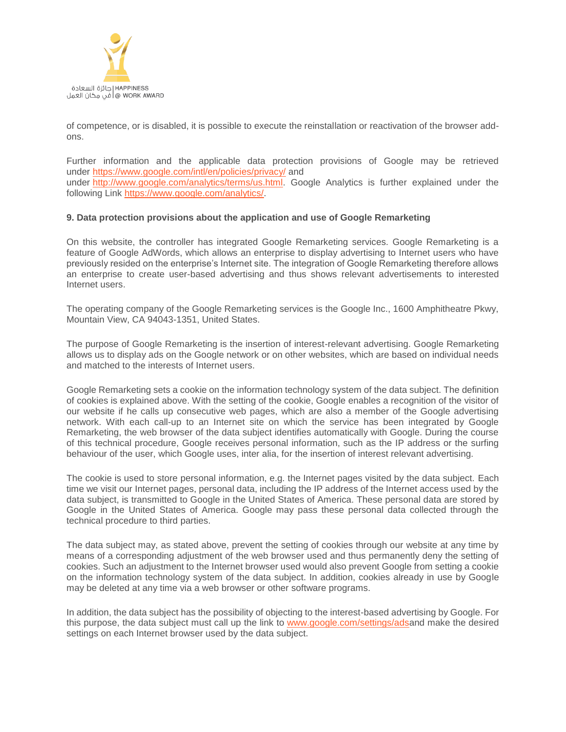

of competence, or is disabled, it is possible to execute the reinstallation or reactivation of the browser addons.

Further information and the applicable data protection provisions of Google may be retrieved under [https://www.google.com/intl/en/policies/privacy/](https://policies.google.com/privacy?hl=en) and under [http://www.google.com/analytics/terms/us.html.](https://www.google.com/analytics/terms/us.html) Google Analytics is further explained under the following Link [https://www.google.com/analytics/.](https://www.google.com/analytics/)

### **9. Data protection provisions about the application and use of Google Remarketing**

On this website, the controller has integrated Google Remarketing services. Google Remarketing is a feature of Google AdWords, which allows an enterprise to display advertising to Internet users who have previously resided on the enterprise's Internet site. The integration of Google Remarketing therefore allows an enterprise to create user-based advertising and thus shows relevant advertisements to interested Internet users.

The operating company of the Google Remarketing services is the Google Inc., 1600 Amphitheatre Pkwy, Mountain View, CA 94043-1351, United States.

The purpose of Google Remarketing is the insertion of interest-relevant advertising. Google Remarketing allows us to display ads on the Google network or on other websites, which are based on individual needs and matched to the interests of Internet users.

Google Remarketing sets a cookie on the information technology system of the data subject. The definition of cookies is explained above. With the setting of the cookie, Google enables a recognition of the visitor of our website if he calls up consecutive web pages, which are also a member of the Google advertising network. With each call-up to an Internet site on which the service has been integrated by Google Remarketing, the web browser of the data subject identifies automatically with Google. During the course of this technical procedure, Google receives personal information, such as the IP address or the surfing behaviour of the user, which Google uses, inter alia, for the insertion of interest relevant advertising.

The cookie is used to store personal information, e.g. the Internet pages visited by the data subject. Each time we visit our Internet pages, personal data, including the IP address of the Internet access used by the data subject, is transmitted to Google in the United States of America. These personal data are stored by Google in the United States of America. Google may pass these personal data collected through the technical procedure to third parties.

The data subject may, as stated above, prevent the setting of cookies through our website at any time by means of a corresponding adjustment of the web browser used and thus permanently deny the setting of cookies. Such an adjustment to the Internet browser used would also prevent Google from setting a cookie on the information technology system of the data subject. In addition, cookies already in use by Google may be deleted at any time via a web browser or other software programs.

In addition, the data subject has the possibility of objecting to the interest-based advertising by Google. For this purpose, the data subject must call up the link to [www.google.com/settings/adsa](https://adssettings.google.com/authenticated)nd make the desired settings on each Internet browser used by the data subject.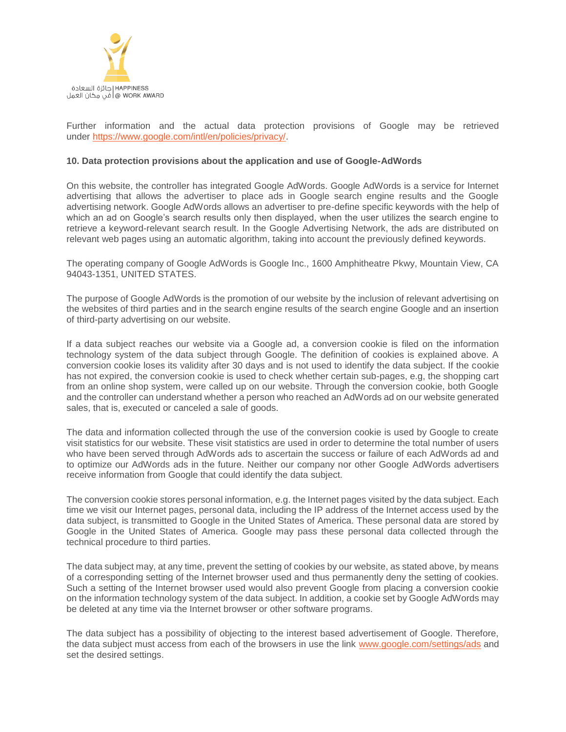

Further information and the actual data protection provisions of Google may be retrieved under [https://www.google.com/intl/en/policies/privacy/.](https://www.google.com/intl/en/policies/privacy/)

### **10. Data protection provisions about the application and use of Google-AdWords**

On this website, the controller has integrated Google AdWords. Google AdWords is a service for Internet advertising that allows the advertiser to place ads in Google search engine results and the Google advertising network. Google AdWords allows an advertiser to pre-define specific keywords with the help of which an ad on Google's search results only then displayed, when the user utilizes the search engine to retrieve a keyword-relevant search result. In the Google Advertising Network, the ads are distributed on relevant web pages using an automatic algorithm, taking into account the previously defined keywords.

The operating company of Google AdWords is Google Inc., 1600 Amphitheatre Pkwy, Mountain View, CA 94043-1351, UNITED STATES.

The purpose of Google AdWords is the promotion of our website by the inclusion of relevant advertising on the websites of third parties and in the search engine results of the search engine Google and an insertion of third-party advertising on our website.

If a data subject reaches our website via a Google ad, a conversion cookie is filed on the information technology system of the data subject through Google. The definition of cookies is explained above. A conversion cookie loses its validity after 30 days and is not used to identify the data subject. If the cookie has not expired, the conversion cookie is used to check whether certain sub-pages, e.g, the shopping cart from an online shop system, were called up on our website. Through the conversion cookie, both Google and the controller can understand whether a person who reached an AdWords ad on our website generated sales, that is, executed or canceled a sale of goods.

The data and information collected through the use of the conversion cookie is used by Google to create visit statistics for our website. These visit statistics are used in order to determine the total number of users who have been served through AdWords ads to ascertain the success or failure of each AdWords ad and to optimize our AdWords ads in the future. Neither our company nor other Google AdWords advertisers receive information from Google that could identify the data subject.

The conversion cookie stores personal information, e.g. the Internet pages visited by the data subject. Each time we visit our Internet pages, personal data, including the IP address of the Internet access used by the data subject, is transmitted to Google in the United States of America. These personal data are stored by Google in the United States of America. Google may pass these personal data collected through the technical procedure to third parties.

The data subject may, at any time, prevent the setting of cookies by our website, as stated above, by means of a corresponding setting of the Internet browser used and thus permanently deny the setting of cookies. Such a setting of the Internet browser used would also prevent Google from placing a conversion cookie on the information technology system of the data subject. In addition, a cookie set by Google AdWords may be deleted at any time via the Internet browser or other software programs.

The data subject has a possibility of objecting to the interest based advertisement of Google. Therefore, the data subject must access from each of the browsers in use the link [www.google.com/settings/ads](https://adssettings.google.com/authenticated) and set the desired settings.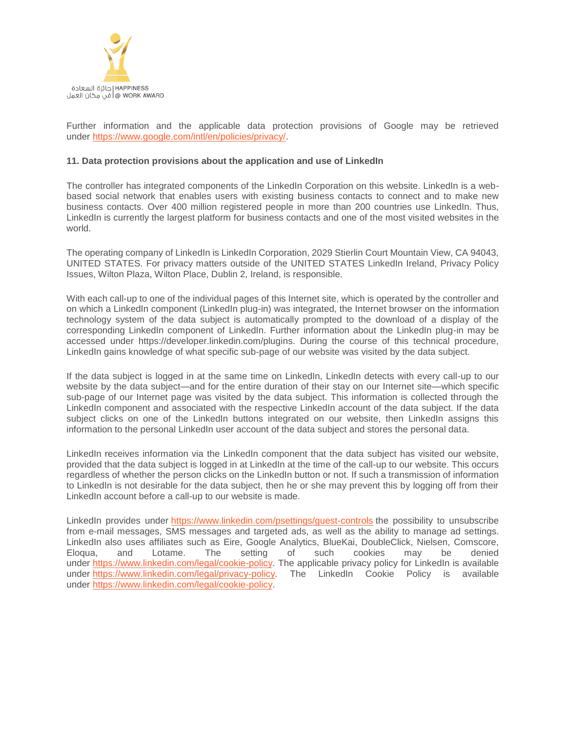

Further information and the applicable data protection provisions of Google may be retrieved under [https://www.google.com/intl/en/policies/privacy/.](https://www.google.com/intl/en/policies/privacy/)

### **11. Data protection provisions about the application and use of LinkedIn**

The controller has integrated components of the LinkedIn Corporation on this website. LinkedIn is a webbased social network that enables users with existing business contacts to connect and to make new business contacts. Over 400 million registered people in more than 200 countries use LinkedIn. Thus, LinkedIn is currently the largest platform for business contacts and one of the most visited websites in the world.

The operating company of LinkedIn is LinkedIn Corporation, 2029 Stierlin Court Mountain View, CA 94043, UNITED STATES. For privacy matters outside of the UNITED STATES LinkedIn Ireland, Privacy Policy Issues, Wilton Plaza, Wilton Place, Dublin 2, Ireland, is responsible.

With each call-up to one of the individual pages of this Internet site, which is operated by the controller and on which a LinkedIn component (LinkedIn plug-in) was integrated, the Internet browser on the information technology system of the data subject is automatically prompted to the download of a display of the corresponding LinkedIn component of LinkedIn. Further information about the LinkedIn plug-in may be accessed under https://developer.linkedin.com/plugins. During the course of this technical procedure, LinkedIn gains knowledge of what specific sub-page of our website was visited by the data subject.

If the data subject is logged in at the same time on LinkedIn, LinkedIn detects with every call-up to our website by the data subject—and for the entire duration of their stay on our Internet site—which specific sub-page of our Internet page was visited by the data subject. This information is collected through the LinkedIn component and associated with the respective LinkedIn account of the data subject. If the data subject clicks on one of the LinkedIn buttons integrated on our website, then LinkedIn assigns this information to the personal LinkedIn user account of the data subject and stores the personal data.

LinkedIn receives information via the LinkedIn component that the data subject has visited our website, provided that the data subject is logged in at LinkedIn at the time of the call-up to our website. This occurs regardless of whether the person clicks on the LinkedIn button or not. If such a transmission of information to LinkedIn is not desirable for the data subject, then he or she may prevent this by logging off from their LinkedIn account before a call-up to our website is made.

LinkedIn provides under <https://www.linkedin.com/psettings/guest-controls> the possibility to unsubscribe from e-mail messages, SMS messages and targeted ads, as well as the ability to manage ad settings. LinkedIn also uses affiliates such as Eire, Google Analytics, BlueKai, DoubleClick, Nielsen, Comscore,<br>Eloqua. and Lotame. The setting of such cookies may be denied Eloqua, and Lotame. The setting of such cookies may be denied under [https://www.linkedin.com/legal/cookie-policy.](https://www.linkedin.com/legal/cookie-policy) The applicable privacy policy for LinkedIn is available under [https://www.linkedin.com/legal/privacy-policy.](https://www.linkedin.com/legal/privacy-policy) The LinkedIn Cookie Policy is available under [https://www.linkedin.com/legal/cookie-policy.](https://www.linkedin.com/legal/cookie-policy)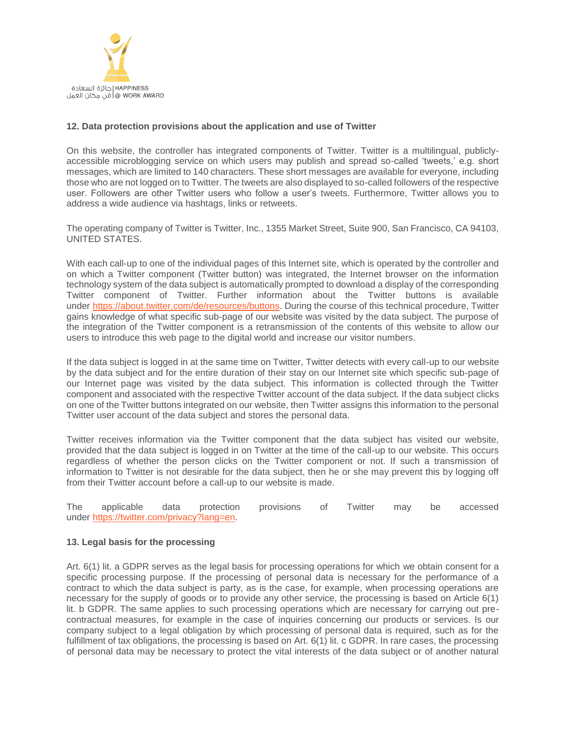

## **12. Data protection provisions about the application and use of Twitter**

On this website, the controller has integrated components of Twitter. Twitter is a multilingual, publiclyaccessible microblogging service on which users may publish and spread so-called 'tweets,' e.g. short messages, which are limited to 140 characters. These short messages are available for everyone, including those who are not logged on to Twitter. The tweets are also displayed to so-called followers of the respective user. Followers are other Twitter users who follow a user's tweets. Furthermore, Twitter allows you to address a wide audience via hashtags, links or retweets.

The operating company of Twitter is Twitter, Inc., 1355 Market Street, Suite 900, San Francisco, CA 94103, UNITED STATES.

With each call-up to one of the individual pages of this Internet site, which is operated by the controller and on which a Twitter component (Twitter button) was integrated, the Internet browser on the information technology system of the data subject is automatically prompted to download a display of the corresponding Twitter component of Twitter. Further information about the Twitter buttons is available under [https://about.twitter.com/de/resources/buttons.](https://about.twitter.com/de/resources/buttons) During the course of this technical procedure, Twitter gains knowledge of what specific sub-page of our website was visited by the data subject. The purpose of the integration of the Twitter component is a retransmission of the contents of this website to allow our users to introduce this web page to the digital world and increase our visitor numbers.

If the data subject is logged in at the same time on Twitter, Twitter detects with every call-up to our website by the data subject and for the entire duration of their stay on our Internet site which specific sub-page of our Internet page was visited by the data subject. This information is collected through the Twitter component and associated with the respective Twitter account of the data subject. If the data subject clicks on one of the Twitter buttons integrated on our website, then Twitter assigns this information to the personal Twitter user account of the data subject and stores the personal data.

Twitter receives information via the Twitter component that the data subject has visited our website, provided that the data subject is logged in on Twitter at the time of the call-up to our website. This occurs regardless of whether the person clicks on the Twitter component or not. If such a transmission of information to Twitter is not desirable for the data subject, then he or she may prevent this by logging off from their Twitter account before a call-up to our website is made.

The applicable data protection provisions of Twitter may be accessed under [https://twitter.com/privacy?lang=en.](https://twitter.com/privacy?lang=en)

### **13. Legal basis for the processing**

Art. 6(1) lit. a GDPR serves as the legal basis for processing operations for which we obtain consent for a specific processing purpose. If the processing of personal data is necessary for the performance of a contract to which the data subject is party, as is the case, for example, when processing operations are necessary for the supply of goods or to provide any other service, the processing is based on Article 6(1) lit. b GDPR. The same applies to such processing operations which are necessary for carrying out precontractual measures, for example in the case of inquiries concerning our products or services. Is our company subject to a legal obligation by which processing of personal data is required, such as for the fulfillment of tax obligations, the processing is based on Art. 6(1) lit. c GDPR. In rare cases, the processing of personal data may be necessary to protect the vital interests of the data subject or of another natural